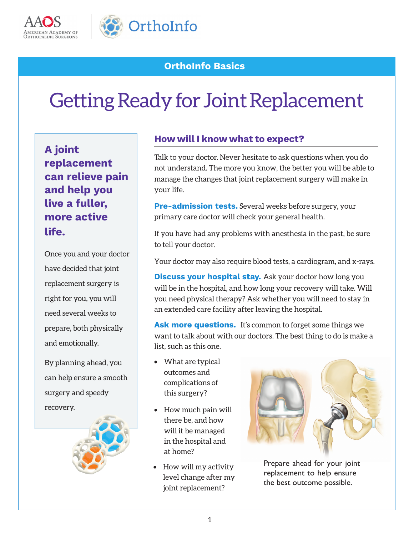



# **OrthoInfo Basics**

# Getting Ready for Joint Replacement

**A joint replacement can relieve pain and help you live a fuller, more active life.**

Once you and your doctor have decided that joint replacement surgery is right for you, you will need several weeks to prepare, both physically and emotionally.

By planning ahead, you can help ensure a smooth surgery and speedy recovery.



## **How will I know what to expect?**

Talk to your doctor. Never hesitate to ask questions when you do not understand. The more you know, the better you will be able to manage the changes that joint replacement surgery will make in your life.

**Pre-admission tests.** Several weeks before surgery, your primary care doctor will check your general health.

If you have had any problems with anesthesia in the past, be sure to tell your doctor.

Your doctor may also require blood tests, a cardiogram, and x-rays.

**Discuss your hospital stay.** Ask your doctor how long you will be in the hospital, and how long your recovery will take. Will you need physical therapy? Ask whether you will need to stay in an extended care facility after leaving the hospital.

**Ask more questions.** It's common to forget some things we want to talk about with our doctors. The best thing to do is make a list, such as this one.

- What are typical outcomes and complications of this surgery?
- How much pain will there be, and how will it be managed in the hospital and at home?
- How will my activity level change after my joint replacement?



Prepare ahead for your joint replacement to help ensure the best outcome possible.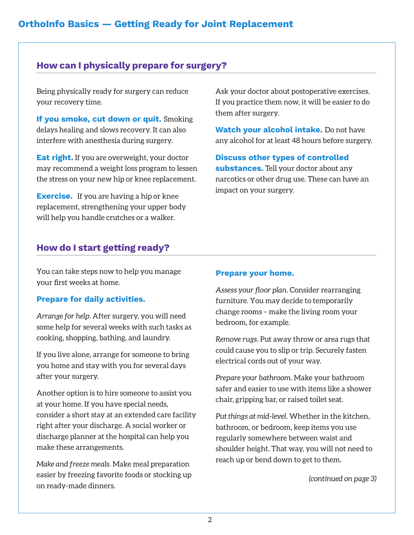## **How can I physically prepare for surgery?**

Being physically ready for surgery can reduce your recovery time.

**If you smoke, cut down or quit.** Smoking delays healing and slows recovery. It can also interfere with anesthesia during surgery.

**Eat right.** If you are overweight, your doctor may recommend a weight loss program to lessen the stress on your new hip or knee replacement.

**Exercise.** If you are having a hip or knee replacement, strengthening your upper body will help you handle crutches or a walker.

Ask your doctor about postoperative exercises. If you practice them now, it will be easier to do them after surgery.

**Watch your alcohol intake.** Do not have any alcohol for at least 48 hours before surgery.

**Discuss other types of controlled substances.** Tell your doctor about any narcotics or other drug use. These can have an impact on your surgery.

### **How do I start getting ready?**

You can take steps now to help you manage your first weeks at home.

#### **Prepare for daily activities.**

*Arrange for help.* After surgery, you will need some help for several weeks with such tasks as cooking, shopping, bathing, and laundry.

If you live alone, arrange for someone to bring you home and stay with you for several days after your surgery.

Another option is to hire someone to assist you at your home. If you have special needs, consider a short stay at an extended care facility right after your discharge. A social worker or discharge planner at the hospital can help you make these arrangements.

*Make and freeze meals.* Make meal preparation easier by freezing favorite foods or stocking up on ready-made dinners.

#### **Prepare your home.**

*Assess your floor plan.* Consider rearranging furniture. You may decide to temporarily change rooms – make the living room your bedroom, for example.

*Remove rugs.* Put away throw or area rugs that could cause you to slip or trip. Securely fasten electrical cords out of your way.

*Prepare your bathroom.* Make your bathroom safer and easier to use with items like a shower chair, gripping bar, or raised toilet seat.

*Put things at mid-level.* Whether in the kitchen, bathroom, or bedroom, keep items you use regularly somewhere between waist and shoulder height. That way, you will not need to reach up or bend down to get to them.

*(continued on page 3)*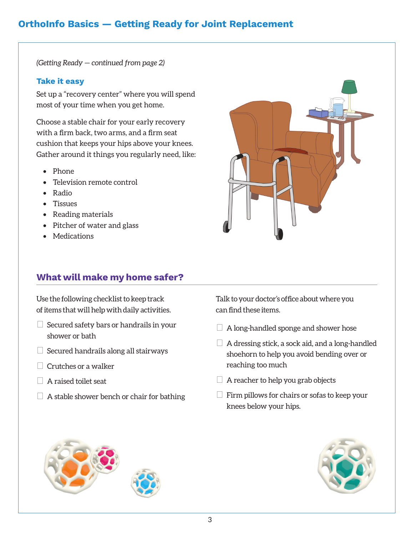## **OrthoInfo Basics — Getting Ready for Joint Replacement**

*(Getting Ready — continued from page 2)*

#### **Take it easy**

Set up a "recovery center" where you will spend most of your time when you get home.

Choose a stable chair for your early recovery with a firm back, two arms, and a firm seat cushion that keeps your hips above your knees. Gather around it things you regularly need, like:

- Phone
- Television remote control
- Radio
- Tissues
- Reading materials
- Pitcher of water and glass
- Medications

## **What will make my home safer?**

Use the following checklist to keep track of items that will help with daily activities.

- $\Box$  Secured safety bars or handrails in your shower or bath
- $\Box$  Secured handrails along all stairways
- $\Box$  Crutches or a walker
- $\Box$  A raised toilet seat
- $\Box$  A stable shower bench or chair for bathing

Talk to your doctor's office about where you can find these items.

- $\Box$  A long-handled sponge and shower hose
- $\Box$  A dressing stick, a sock aid, and a long-handled shoehorn to help you avoid bending over or reaching too much
- $\Box$  A reacher to help you grab objects
- $\Box$  Firm pillows for chairs or sofas to keep your knees below your hips.